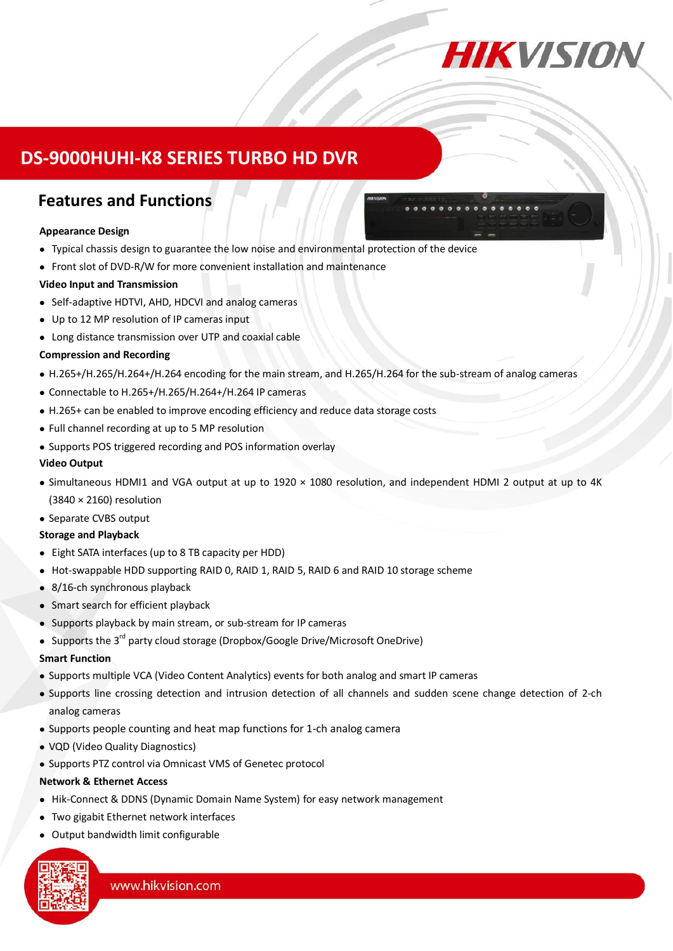

# **DS-9000HUHI-K8 SERIES TURBO HD DVR**

## **Features and Functions**

### **Appearance Design**

- Typical chassis design to guarantee the low noise and environmental protection of the device
- Front slot of DVD-R/W for more convenient installation and maintenance

### **Video Input and Transmission**

- Self-adaptive HDTVI, AHD, HDCVI and analog cameras
- Up to 12 MP resolution of IP cameras input
- Long distance transmission over UTP and coaxial cable

### **Compression and Recording**

- H.265+/H.265/H.264+/H.264 encoding for the main stream, and H.265/H.264 for the sub-stream of analog cameras
- Connectable to H.265+/H.265/H.264+/H.264 IP cameras
- H.265+ can be enabled to improve encoding efficiency and reduce data storage costs
- Full channel recording at up to 5 MP resolution
- Supports POS triggered recording and POS information overlay

### **Video Output**

- Simultaneous HDMI1 and VGA output at up to 1920 × 1080 resolution, and independent HDMI 2 output at up to 4K (3840 × 2160) resolution
- Separate CVBS output

#### **Storage and Playback**

- Eight SATA interfaces (up to 8 TB capacity per HDD)
- Hot-swappable HDD supporting RAID 0, RAID 1, RAID 5, RAID 6 and RAID 10 storage scheme
- 8/16-ch synchronous playback
- Smart search for efficient playback
- Supports playback by main stream, or sub-stream for IP cameras
- Supports the 3<sup>rd</sup> party cloud storage (Dropbox/Google Drive/Microsoft OneDrive)

### **Smart Function**

- Supports multiple VCA (Video Content Analytics) events for both analog and smart IP cameras
- Supports line crossing detection and intrusion detection of all channels and sudden scene change detection of 2-ch analog cameras
- Supports people counting and heat map functions for 1-ch analog camera
- VQD (Video Quality Diagnostics)
- Supports PTZ control via Omnicast VMS of Genetec protocol

#### **Network & Ethernet Access**

- Hik-Connect & DDNS (Dynamic Domain Name System) for easy network management
- Two gigabit Ethernet network interfaces
- Output bandwidth limit configurable

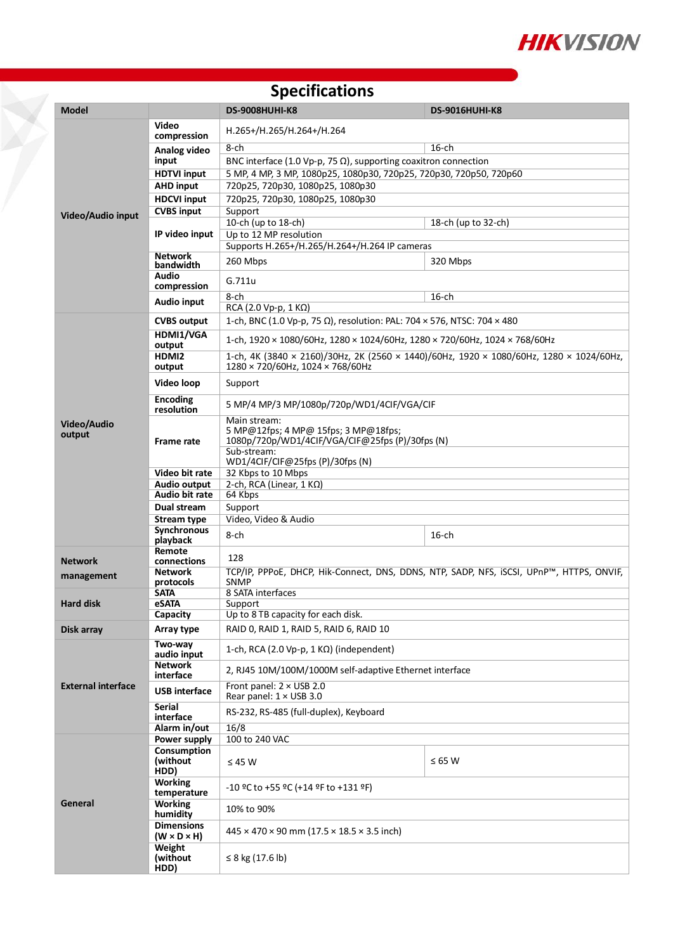

#### **Model DS-9008HUHI-K8 DS-9016HUHI-K8 Video/Audio input Video compression** H.265+/H.265/H.264+/H.264 **Analog video input**  $8$ -ch  $16$ -ch BNC interface (1.0 Vp-p, 75  $\Omega$ ), supporting coaxitron connection **HDTVI input** 5 MP, 4 MP, 3 MP, 1080p25, 1080p30, 720p25, 720p30, 720p50, 720p60 **AHD input** 720p25, 720p30, 1080p25, 1080p30 **HDCVI input** 720p25, 720p30, 1080p25, 1080p30 **CVBS input** Support **IP video input** 10-ch (up to 18-ch) 18-ch (up to 32-ch) Up to 12 MP resolution Supports H.265+/H.265/H.264+/H.264 IP cameras **Network bandwidth** 260 Mbps 320 Mbps 320 Mbps **Audio compression** G.711u **Audio input** 8-ch 16-ch 16-ch RCA (2.0 Vp-p, 1 KΩ) **Video/Audio output CVBS output** 1-ch, BNC (1.0 Vp-p, 75 Ω), resolution: PAL: 704 × 576, NTSC: 704 × 480 **HDMI1/VGA output** 1-ch, 1920 × 1080/60Hz, 1280 × 1024/60Hz, 1280 × 720/60Hz, 1024 × 768/60Hz **HDMI2 output** 1-ch, 4K (3840 × 2160)/30Hz, 2K (2560 × 1440)/60Hz, 1920 × 1080/60Hz, 1280 × 1024/60Hz, 1280 × 720/60Hz, 1024 × 768/60Hz **Video loop** Support **Encoding resolution** 5 MP/4 MP/3 MP/1080p/720p/WD1/4CIF/VGA/CIF **Frame rate** Main stream: 5 MP@12fps; 4 MP@ 15fps; 3 MP@18fps; 1080p/720p/WD1/4CIF/VGA/CIF@25fps (P)/30fps (N) Sub-stream: WD1/4CIF/CIF@25fps (P)/30fps (N) **Video bit rate** 32 Kbps to 10 Mbps **Audio output** 2-ch, RCA (Linear, 1 KΩ)<br>**Audio bit rate** 64 Kbps **Audio bit rate Dual stream** Support **Stream type** Video, Video & Audio **Synchronous playback** 8-ch 16-ch **Network management Remote connections** 128 **Network protocols** TCP/IP, PPPoE, DHCP, Hik-Connect, DNS, DDNS, NTP, SADP, NFS, iSCSI, UPnP™, HTTPS, ONVIF, SNMP **Hard disk SATA** 8 SATA interfaces<br> **eSATA** Support **eSATA** Support<br> **Capacity** Up to 8 **Capacity** Up to 8 TB capacity for each disk. **Disk array <b>Array type** RAID 0, RAID 1, RAID 5, RAID 6, RAID 10 **External interface Two-way audio input** 1-ch, RCA (2.0 Vp-p, 1 KΩ) (independent) **Network interface** 2, RJ45 10M/100M/1000M self-adaptive Ethernet interface **USB interface** Front panel: 2 <sup>×</sup> USB 2.0 Rear panel: 1 × USB 3.0 **Serial**  RS-232, RS-485 (full-duplex), Keyboard<br>16/8 **Alarm in/out**<br>**Power supply General Power supply** 100 to 240 VAC **Consumption (without HDD)** ≤ 45 W  $\leq$  65 W **Working temperature** -10 ºC to +55 ºC (+14 ºF to +131 ºF) **Working Specifications**

**(W × D × H)** <sup>445</sup> × 470 × 90 mm (17.5 × 18.5 × 3.5 inch)

**humidity** 10% to 90%

≤ 8 kg (17.6 lb)

**Dimensions**

**Weight (without HDD)**